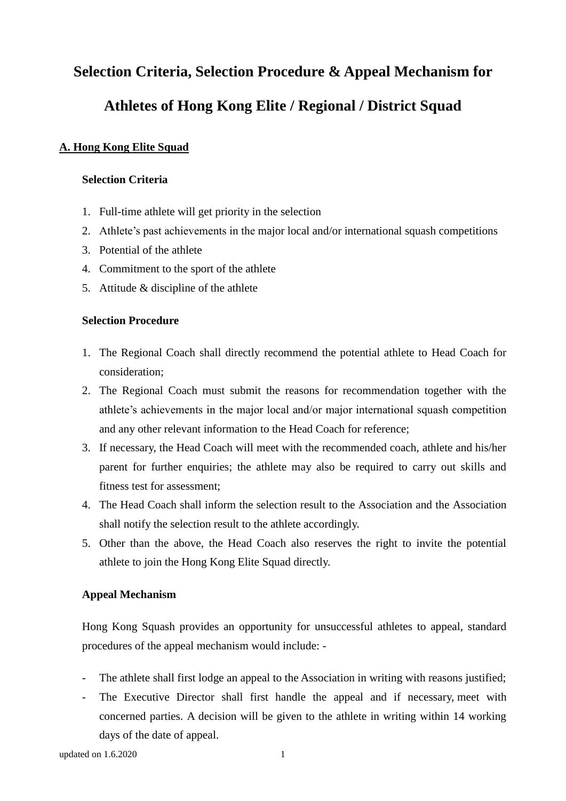# **Selection Criteria, Selection Procedure & Appeal Mechanism for Athletes of Hong Kong Elite / Regional / District Squad**

# **A. Hong Kong Elite Squad**

### **Selection Criteria**

- 1. Full-time athlete will get priority in the selection
- 2. Athlete's past achievements in the major local and/or international squash competitions
- 3. Potential of the athlete
- 4. Commitment to the sport of the athlete
- 5. Attitude & discipline of the athlete

#### **Selection Procedure**

- 1. The Regional Coach shall directly recommend the potential athlete to Head Coach for consideration;
- 2. The Regional Coach must submit the reasons for recommendation together with the athlete's achievements in the major local and/or major international squash competition and any other relevant information to the Head Coach for reference;
- 3. If necessary, the Head Coach will meet with the recommended coach, athlete and his/her parent for further enquiries; the athlete may also be required to carry out skills and fitness test for assessment;
- 4. The Head Coach shall inform the selection result to the Association and the Association shall notify the selection result to the athlete accordingly.
- 5. Other than the above, the Head Coach also reserves the right to invite the potential athlete to join the Hong Kong Elite Squad directly.

# **Appeal Mechanism**

Hong Kong Squash provides an opportunity for unsuccessful athletes to appeal, standard procedures of the appeal mechanism would include: -

- The athlete shall first lodge an appeal to the Association in writing with reasons justified;
- The Executive Director shall first handle the appeal and if necessary, meet with concerned parties. A decision will be given to the athlete in writing within 14 working days of the date of appeal.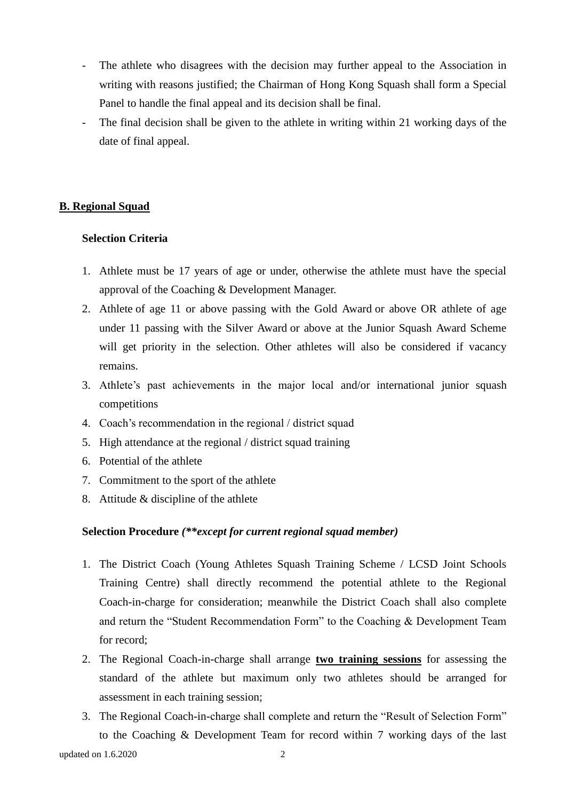- The athlete who disagrees with the decision may further appeal to the Association in writing with reasons justified; the Chairman of Hong Kong Squash shall form a Special Panel to handle the final appeal and its decision shall be final.
- The final decision shall be given to the athlete in writing within 21 working days of the date of final appeal.

# **B. Regional Squad**

#### **Selection Criteria**

- 1. Athlete must be 17 years of age or under, otherwise the athlete must have the special approval of the Coaching & Development Manager.
- 2. Athlete of age 11 or above passing with the Gold Award or above OR athlete of age under 11 passing with the Silver Award or above at the Junior Squash Award Scheme will get priority in the selection. Other athletes will also be considered if vacancy remains.
- 3. Athlete's past achievements in the major local and/or international junior squash competitions
- 4. Coach's recommendation in the regional / district squad
- 5. High attendance at the regional / district squad training
- 6. Potential of the athlete
- 7. Commitment to the sport of the athlete
- 8. Attitude & discipline of the athlete

# **Selection Procedure** *(\*\*except for current regional squad member)*

- 1. The District Coach (Young Athletes Squash Training Scheme / LCSD Joint Schools Training Centre) shall directly recommend the potential athlete to the Regional Coach-in-charge for consideration; meanwhile the District Coach shall also complete and return the "Student Recommendation Form" to the Coaching & Development Team for record;
- 2. The Regional Coach-in-charge shall arrange **two training sessions** for assessing the standard of the athlete but maximum only two athletes should be arranged for assessment in each training session;
- updated on 1.6.2020 2 3. The Regional Coach-in-charge shall complete and return the "Result of Selection Form" to the Coaching & Development Team for record within 7 working days of the last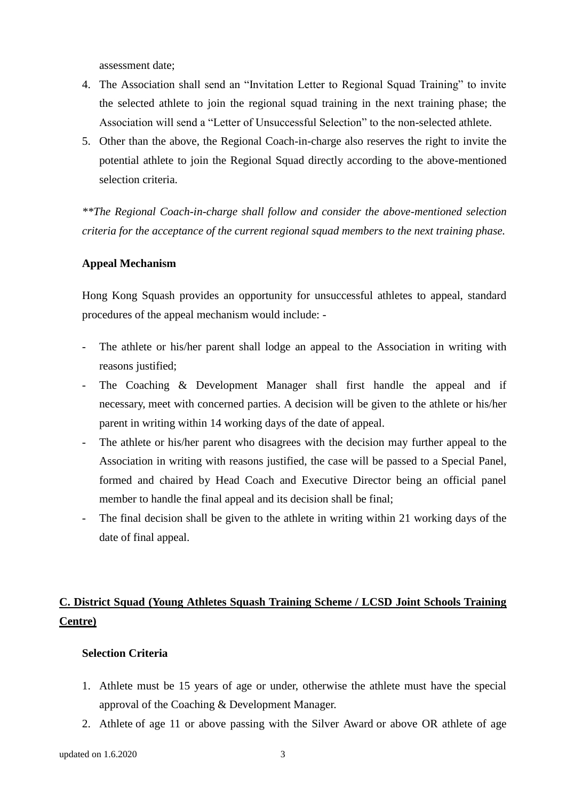assessment date;

- 4. The Association shall send an "Invitation Letter to Regional Squad Training" to invite the selected athlete to join the regional squad training in the next training phase; the Association will send a "Letter of Unsuccessful Selection" to the non-selected athlete.
- 5. Other than the above, the Regional Coach-in-charge also reserves the right to invite the potential athlete to join the Regional Squad directly according to the above-mentioned selection criteria.

*\*\*The Regional Coach-in-charge shall follow and consider the above-mentioned selection criteria for the acceptance of the current regional squad members to the next training phase.*

#### **Appeal Mechanism**

Hong Kong Squash provides an opportunity for unsuccessful athletes to appeal, standard procedures of the appeal mechanism would include: -

- The athlete or his/her parent shall lodge an appeal to the Association in writing with reasons justified;
- The Coaching & Development Manager shall first handle the appeal and if necessary, meet with concerned parties. A decision will be given to the athlete or his/her parent in writing within 14 working days of the date of appeal.
- The athlete or his/her parent who disagrees with the decision may further appeal to the Association in writing with reasons justified, the case will be passed to a Special Panel, formed and chaired by Head Coach and Executive Director being an official panel member to handle the final appeal and its decision shall be final;
- The final decision shall be given to the athlete in writing within 21 working days of the date of final appeal.

# **C. District Squad (Young Athletes Squash Training Scheme / LCSD Joint Schools Training Centre)**

#### **Selection Criteria**

- 1. Athlete must be 15 years of age or under, otherwise the athlete must have the special approval of the Coaching & Development Manager.
- 2. Athlete of age 11 or above passing with the Silver Award or above OR athlete of age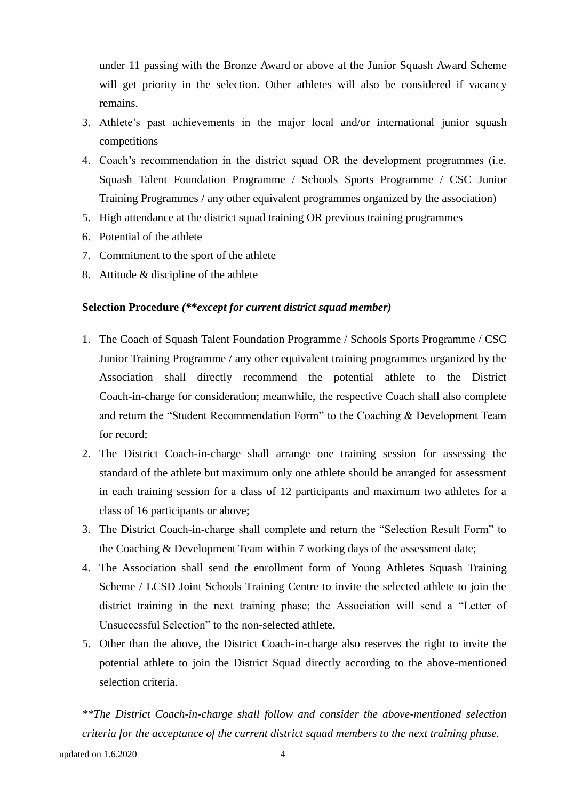under 11 passing with the Bronze Award or above at the Junior Squash Award Scheme will get priority in the selection. Other athletes will also be considered if vacancy remains.

- 3. Athlete's past achievements in the major local and/or international junior squash competitions
- 4. Coach's recommendation in the district squad OR the development programmes (i.e. Squash Talent Foundation Programme / Schools Sports Programme / CSC Junior Training Programmes / any other equivalent programmes organized by the association)
- 5. High attendance at the district squad training OR previous training programmes
- 6. Potential of the athlete
- 7. Commitment to the sport of the athlete
- 8. Attitude & discipline of the athlete

### **Selection Procedure** *(\*\*except for current district squad member)*

- 1. The Coach of Squash Talent Foundation Programme / Schools Sports Programme / CSC Junior Training Programme / any other equivalent training programmes organized by the Association shall directly recommend the potential athlete to the District Coach-in-charge for consideration; meanwhile, the respective Coach shall also complete and return the "Student Recommendation Form" to the Coaching & Development Team for record;
- 2. The District Coach-in-charge shall arrange one training session for assessing the standard of the athlete but maximum only one athlete should be arranged for assessment in each training session for a class of 12 participants and maximum two athletes for a class of 16 participants or above;
- 3. The District Coach-in-charge shall complete and return the "Selection Result Form" to the Coaching & Development Team within 7 working days of the assessment date;
- 4. The Association shall send the enrollment form of Young Athletes Squash Training Scheme / LCSD Joint Schools Training Centre to invite the selected athlete to join the district training in the next training phase; the Association will send a "Letter of Unsuccessful Selection" to the non-selected athlete.
- 5. Other than the above, the District Coach-in-charge also reserves the right to invite the potential athlete to join the District Squad directly according to the above-mentioned selection criteria.

*\*\*The District Coach-in-charge shall follow and consider the above-mentioned selection criteria for the acceptance of the current district squad members to the next training phase.*